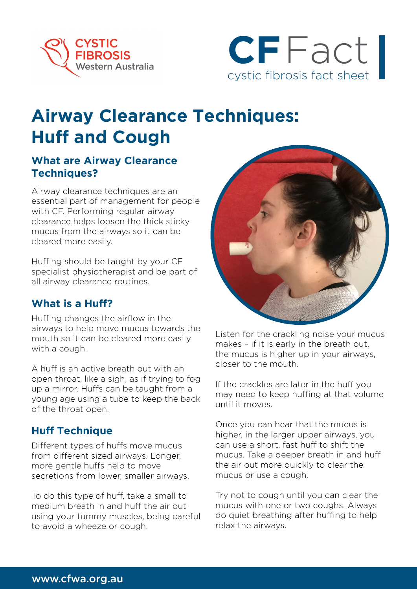



# **Airway Clearance Techniques: Huff and Cough**

#### **What are Airway Clearance Techniques?**

Airway clearance techniques are an essential part of management for people with CF. Performing regular airway clearance helps loosen the thick sticky mucus from the airways so it can be cleared more easily.

Huffing should be taught by your CF specialist physiotherapist and be part of all airway clearance routines.

### **What is a Huff?**

Huffing changes the airflow in the airways to help move mucus towards the mouth so it can be cleared more easily with a cough.

A huff is an active breath out with an open throat, like a sigh, as if trying to fog up a mirror. Huffs can be taught from a young age using a tube to keep the back of the throat open.

### **Huff Technique**

Different types of huffs move mucus from different sized airways. Longer, more gentle huffs help to move secretions from lower, smaller airways.

To do this type of huff, take a small to medium breath in and huff the air out using your tummy muscles, being careful to avoid a wheeze or cough.



Listen for the crackling noise your mucus makes – if it is early in the breath out, the mucus is higher up in your airways, closer to the mouth.

If the crackles are later in the huff you may need to keep huffing at that volume until it moves.

Once you can hear that the mucus is higher, in the larger upper airways, you can use a short, fast huff to shift the mucus. Take a deeper breath in and huff the air out more quickly to clear the mucus or use a cough.

Try not to cough until you can clear the mucus with one or two coughs. Always do quiet breathing after huffing to help relax the airways.